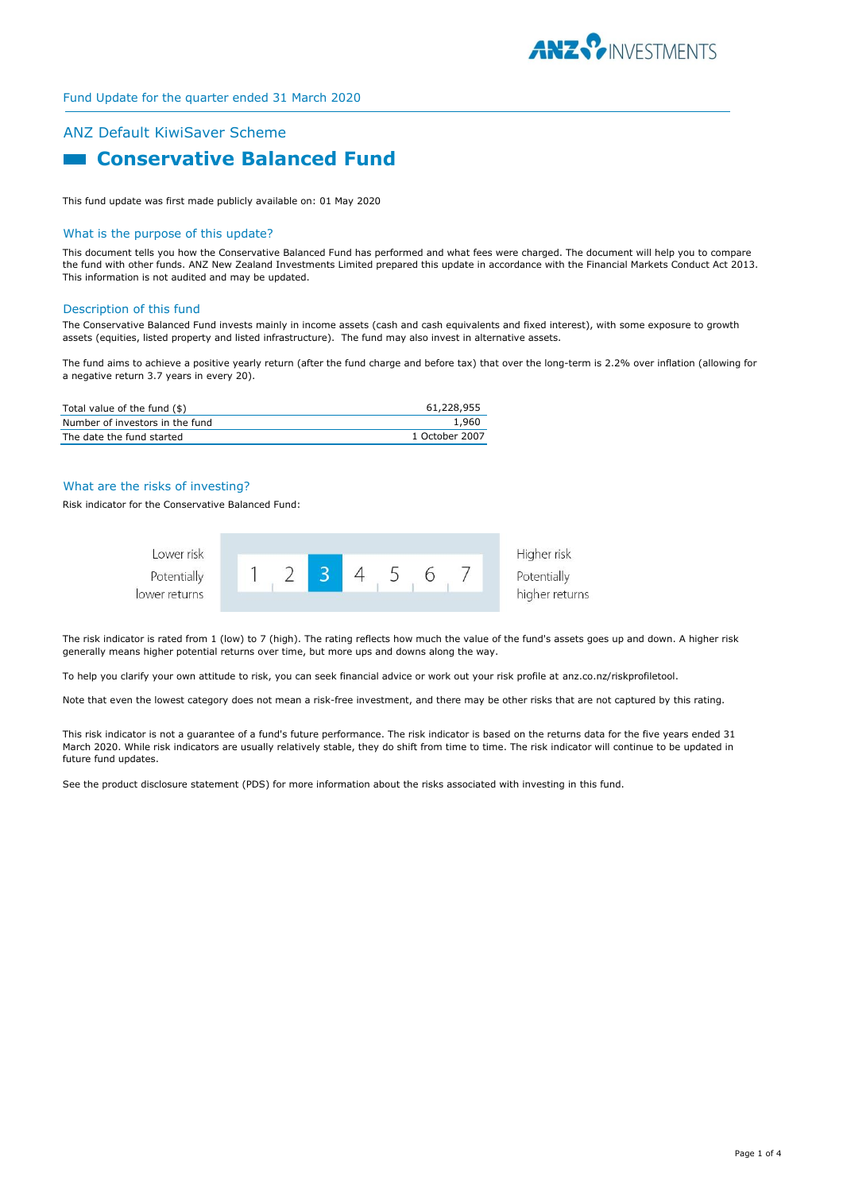

# ANZ Default KiwiSaver Scheme **Example 2 Conservative Balanced Fund**

This fund update was first made publicly available on: 01 May 2020

#### What is the purpose of this update?

This document tells you how the Conservative Balanced Fund has performed and what fees were charged. The document will help you to compare the fund with other funds. ANZ New Zealand Investments Limited prepared this update in accordance with the Financial Markets Conduct Act 2013. This information is not audited and may be updated.

#### Description of this fund

The Conservative Balanced Fund invests mainly in income assets (cash and cash equivalents and fixed interest), with some exposure to growth assets (equities, listed property and listed infrastructure). The fund may also invest in alternative assets.

The fund aims to achieve a positive yearly return (after the fund charge and before tax) that over the long-term is 2.2% over inflation (allowing for a negative return 3.7 years in every 20).

| Total value of the fund (\$)    | 61,228,955     |
|---------------------------------|----------------|
| Number of investors in the fund | 1,960          |
| The date the fund started       | 1 October 2007 |

## What are the risks of investing?

Risk indicator for the Conservative Balanced Fund:



The risk indicator is rated from 1 (low) to 7 (high). The rating reflects how much the value of the fund's assets goes up and down. A higher risk generally means higher potential returns over time, but more ups and downs along the way.

To help you clarify your own attitude to risk, you can seek financial advice or work out your risk profile at anz.co.nz/riskprofiletool.

Note that even the lowest category does not mean a risk-free investment, and there may be other risks that are not captured by this rating.

This risk indicator is not a guarantee of a fund's future performance. The risk indicator is based on the returns data for the five years ended 31 March 2020. While risk indicators are usually relatively stable, they do shift from time to time. The risk indicator will continue to be updated in future fund updates.

See the product disclosure statement (PDS) for more information about the risks associated with investing in this fund.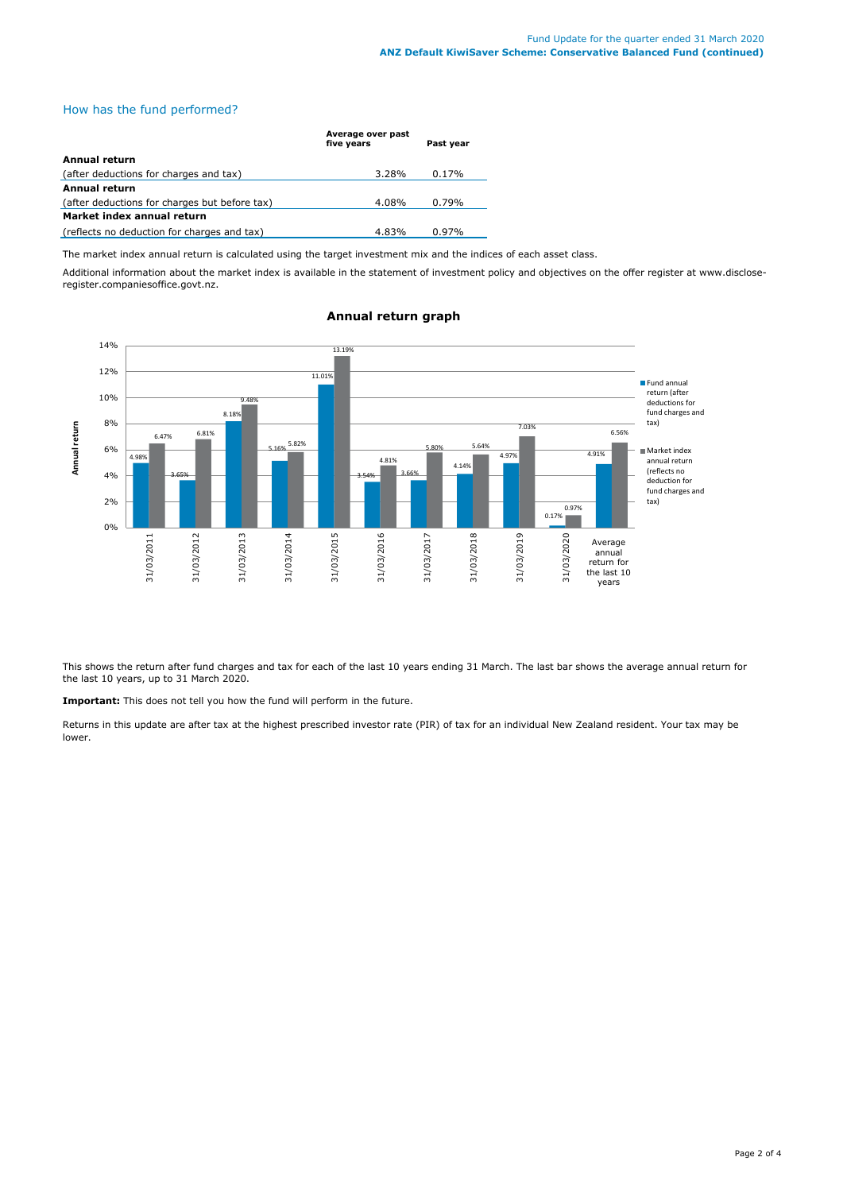# How has the fund performed?

|                                               | Average over past<br>five years | Past year |
|-----------------------------------------------|---------------------------------|-----------|
| <b>Annual return</b>                          |                                 |           |
| (after deductions for charges and tax)        | 3.28%                           | 0.17%     |
| Annual return                                 |                                 |           |
| (after deductions for charges but before tax) | 4.08%                           | 0.79%     |
| Market index annual return                    |                                 |           |
| (reflects no deduction for charges and tax)   | 4.83%                           | $0.97\%$  |

The market index annual return is calculated using the target investment mix and the indices of each asset class.

Additional information about the market index is available in the statement of investment policy and objectives on the offer register at www.discloseregister.companiesoffice.govt.nz.



# **Annual return graph**

This shows the return after fund charges and tax for each of the last 10 years ending 31 March. The last bar shows the average annual return for the last 10 years, up to 31 March 2020.

**Important:** This does not tell you how the fund will perform in the future.

Returns in this update are after tax at the highest prescribed investor rate (PIR) of tax for an individual New Zealand resident. Your tax may be lower.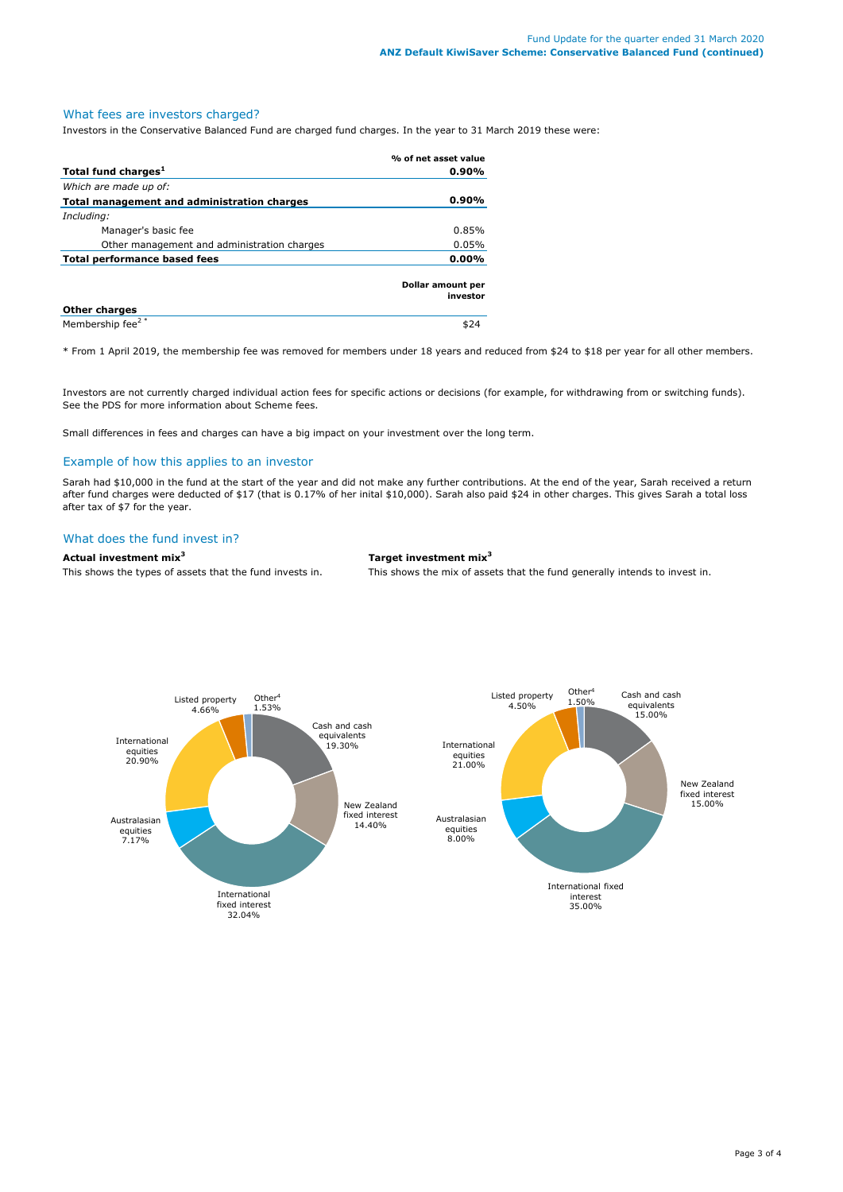# What fees are investors charged?

Investors in the Conservative Balanced Fund are charged fund charges. In the year to 31 March 2019 these were:

|                                             | % of net asset value          |
|---------------------------------------------|-------------------------------|
| Total fund charges <sup>1</sup>             | 0.90%                         |
| Which are made up of:                       |                               |
| Total management and administration charges | 0.90%                         |
| Including:                                  |                               |
| Manager's basic fee                         | 0.85%                         |
| Other management and administration charges | 0.05%                         |
| Total performance based fees<br>$0.00\%$    |                               |
|                                             | Dollar amount per<br>investor |
| <b>Other charges</b>                        |                               |
| Membership fee <sup>2*</sup>                |                               |

\* From 1 April 2019, the membership fee was removed for members under 18 years and reduced from \$24 to \$18 per year for all other members.

Investors are not currently charged individual action fees for specific actions or decisions (for example, for withdrawing from or switching funds). See the PDS for more information about Scheme fees.

Small differences in fees and charges can have a big impact on your investment over the long term.

## Example of how this applies to an investor

Sarah had \$10,000 in the fund at the start of the year and did not make any further contributions. At the end of the year, Sarah received a return after fund charges were deducted of \$17 (that is 0.17% of her inital \$10,000). Sarah also paid \$24 in other charges. This gives Sarah a total loss after tax of \$7 for the year.

## What does the fund invest in?

## **Actual investment mix<sup>3</sup> Target investment mix<sup>3</sup>**

This shows the types of assets that the fund invests in. This shows the mix of assets that the fund generally intends to invest in.